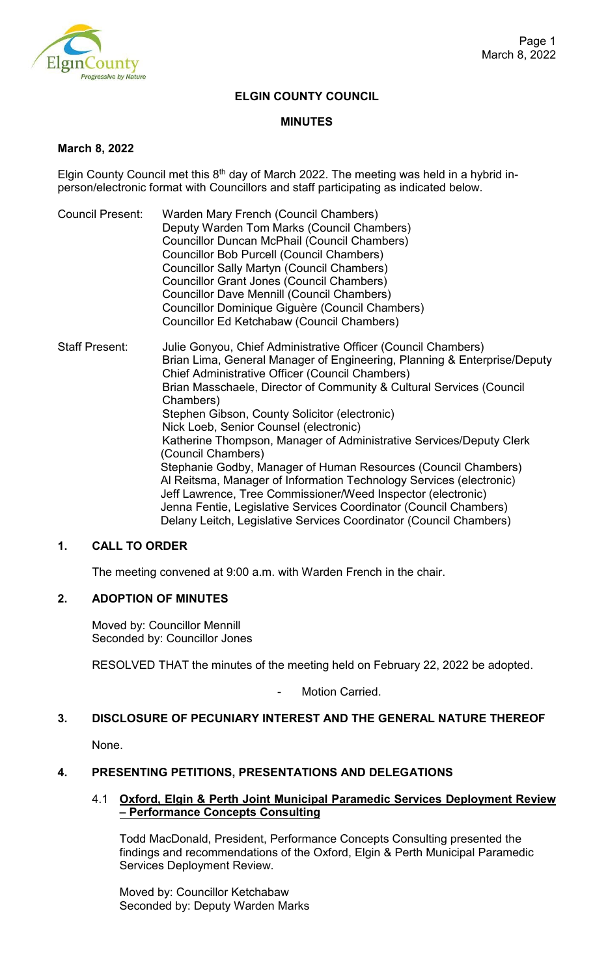

## **ELGIN COUNTY COUNCIL**

### **MINUTES**

### **March 8, 2022**

Elgin County Council met this  $8<sup>th</sup>$  day of March 2022. The meeting was held in a hybrid inperson/electronic format with Councillors and staff participating as indicated below.

- Council Present: Warden Mary French (Council Chambers) Deputy Warden Tom Marks (Council Chambers) Councillor Duncan McPhail (Council Chambers) Councillor Bob Purcell (Council Chambers) Councillor Sally Martyn (Council Chambers) Councillor Grant Jones (Council Chambers) Councillor Dave Mennill (Council Chambers) Councillor Dominique Giguère (Council Chambers) Councillor Ed Ketchabaw (Council Chambers)
- Staff Present: Julie Gonyou, Chief Administrative Officer (Council Chambers) Brian Lima, General Manager of Engineering, Planning & Enterprise/Deputy Chief Administrative Officer (Council Chambers) Brian Masschaele, Director of Community & Cultural Services (Council Chambers) Stephen Gibson, County Solicitor (electronic) Nick Loeb, Senior Counsel (electronic) Katherine Thompson, Manager of Administrative Services/Deputy Clerk (Council Chambers) Stephanie Godby, Manager of Human Resources (Council Chambers) Al Reitsma, Manager of Information Technology Services (electronic) Jeff Lawrence, Tree Commissioner/Weed Inspector (electronic) Jenna Fentie, Legislative Services Coordinator (Council Chambers) Delany Leitch, Legislative Services Coordinator (Council Chambers)

## **1. CALL TO ORDER**

The meeting convened at 9:00 a.m. with Warden French in the chair.

## **2. ADOPTION OF MINUTES**

Moved by: Councillor Mennill Seconded by: Councillor Jones

RESOLVED THAT the minutes of the meeting held on February 22, 2022 be adopted.

Motion Carried.

# **3. DISCLOSURE OF PECUNIARY INTEREST AND THE GENERAL NATURE THEREOF**

None.

### **4. PRESENTING PETITIONS, PRESENTATIONS AND DELEGATIONS**

### 4.1 **Oxford, Elgin & Perth Joint Municipal Paramedic Services Deployment Review – Performance Concepts Consulting**

Todd MacDonald, President, Performance Concepts Consulting presented the findings and recommendations of the Oxford, Elgin & Perth Municipal Paramedic Services Deployment Review.

Moved by: Councillor Ketchabaw Seconded by: Deputy Warden Marks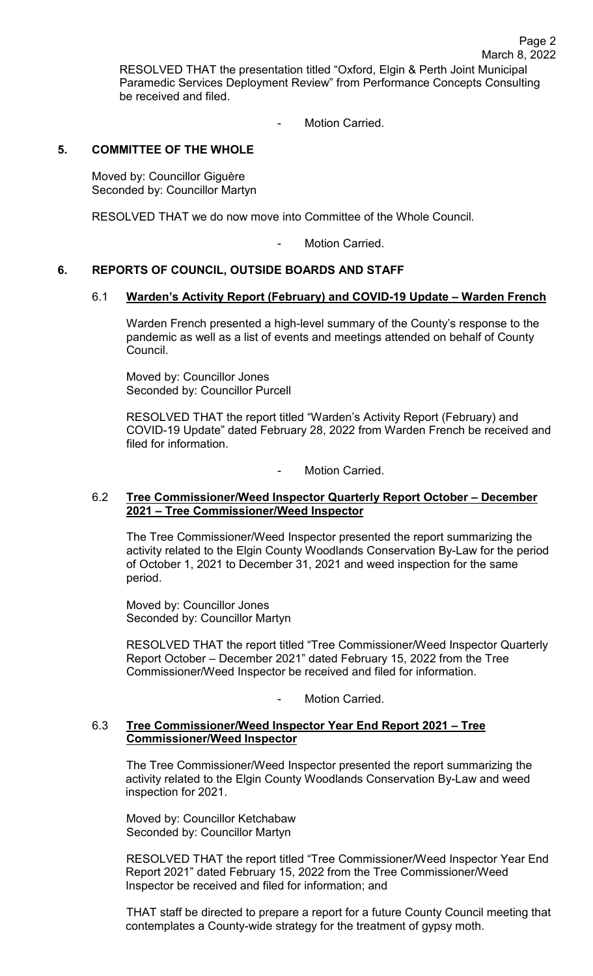Page 2

Motion Carried.

## **5. COMMITTEE OF THE WHOLE**

Moved by: Councillor Giguère Seconded by: Councillor Martyn

RESOLVED THAT we do now move into Committee of the Whole Council.

Motion Carried.

## **6. REPORTS OF COUNCIL, OUTSIDE BOARDS AND STAFF**

### 6.1 **Warden's Activity Report (February) and COVID-19 Update – Warden French**

Warden French presented a high-level summary of the County's response to the pandemic as well as a list of events and meetings attended on behalf of County Council.

Moved by: Councillor Jones Seconded by: Councillor Purcell

RESOLVED THAT the report titled "Warden's Activity Report (February) and COVID-19 Update" dated February 28, 2022 from Warden French be received and filed for information.

Motion Carried.

### 6.2 **Tree Commissioner/Weed Inspector Quarterly Report October – December 2021 – Tree Commissioner/Weed Inspector**

The Tree Commissioner/Weed Inspector presented the report summarizing the activity related to the Elgin County Woodlands Conservation By-Law for the period of October 1, 2021 to December 31, 2021 and weed inspection for the same period.

Moved by: Councillor Jones Seconded by: Councillor Martyn

RESOLVED THAT the report titled "Tree Commissioner/Weed Inspector Quarterly Report October – December 2021" dated February 15, 2022 from the Tree Commissioner/Weed Inspector be received and filed for information.

Motion Carried.

## 6.3 **Tree Commissioner/Weed Inspector Year End Report 2021 – Tree Commissioner/Weed Inspector**

The Tree Commissioner/Weed Inspector presented the report summarizing the activity related to the Elgin County Woodlands Conservation By-Law and weed inspection for 2021.

Moved by: Councillor Ketchabaw Seconded by: Councillor Martyn

RESOLVED THAT the report titled "Tree Commissioner/Weed Inspector Year End Report 2021" dated February 15, 2022 from the Tree Commissioner/Weed Inspector be received and filed for information; and

THAT staff be directed to prepare a report for a future County Council meeting that contemplates a County-wide strategy for the treatment of gypsy moth.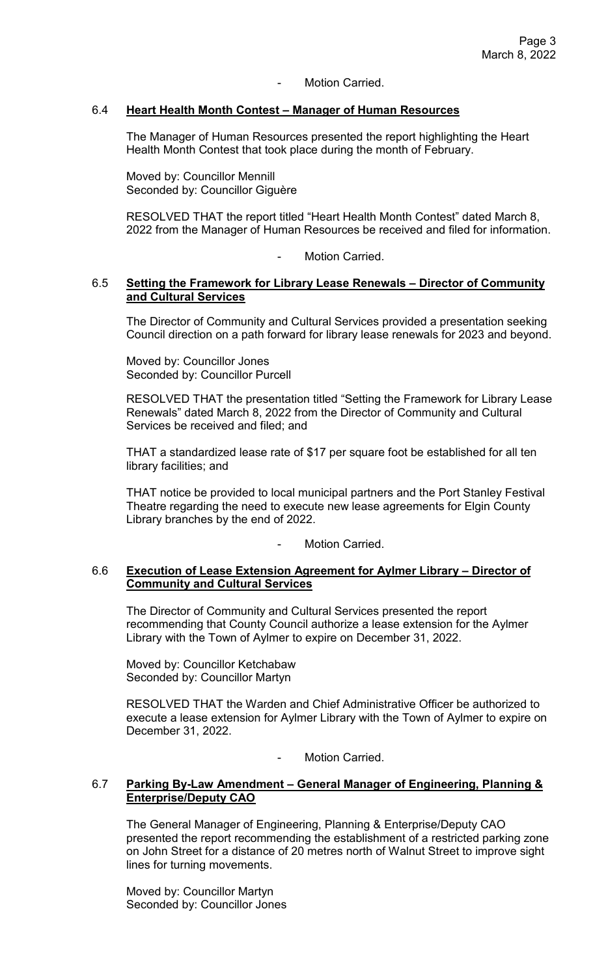### Motion Carried.

## 6.4 **Heart Health Month Contest – Manager of Human Resources**

The Manager of Human Resources presented the report highlighting the Heart Health Month Contest that took place during the month of February.

Moved by: Councillor Mennill Seconded by: Councillor Giguère

RESOLVED THAT the report titled "Heart Health Month Contest" dated March 8, 2022 from the Manager of Human Resources be received and filed for information.

Motion Carried.

### 6.5 **Setting the Framework for Library Lease Renewals – Director of Community and Cultural Services**

The Director of Community and Cultural Services provided a presentation seeking Council direction on a path forward for library lease renewals for 2023 and beyond.

Moved by: Councillor Jones Seconded by: Councillor Purcell

RESOLVED THAT the presentation titled "Setting the Framework for Library Lease Renewals" dated March 8, 2022 from the Director of Community and Cultural Services be received and filed; and

THAT a standardized lease rate of \$17 per square foot be established for all ten library facilities; and

THAT notice be provided to local municipal partners and the Port Stanley Festival Theatre regarding the need to execute new lease agreements for Elgin County Library branches by the end of 2022.

Motion Carried.

## 6.6 **Execution of Lease Extension Agreement for Aylmer Library – Director of Community and Cultural Services**

The Director of Community and Cultural Services presented the report recommending that County Council authorize a lease extension for the Aylmer Library with the Town of Aylmer to expire on December 31, 2022.

Moved by: Councillor Ketchabaw Seconded by: Councillor Martyn

RESOLVED THAT the Warden and Chief Administrative Officer be authorized to execute a lease extension for Aylmer Library with the Town of Aylmer to expire on December 31, 2022.

Motion Carried.

## 6.7 **Parking By-Law Amendment – General Manager of Engineering, Planning & Enterprise/Deputy CAO**

The General Manager of Engineering, Planning & Enterprise/Deputy CAO presented the report recommending the establishment of a restricted parking zone on John Street for a distance of 20 metres north of Walnut Street to improve sight lines for turning movements.

Moved by: Councillor Martyn Seconded by: Councillor Jones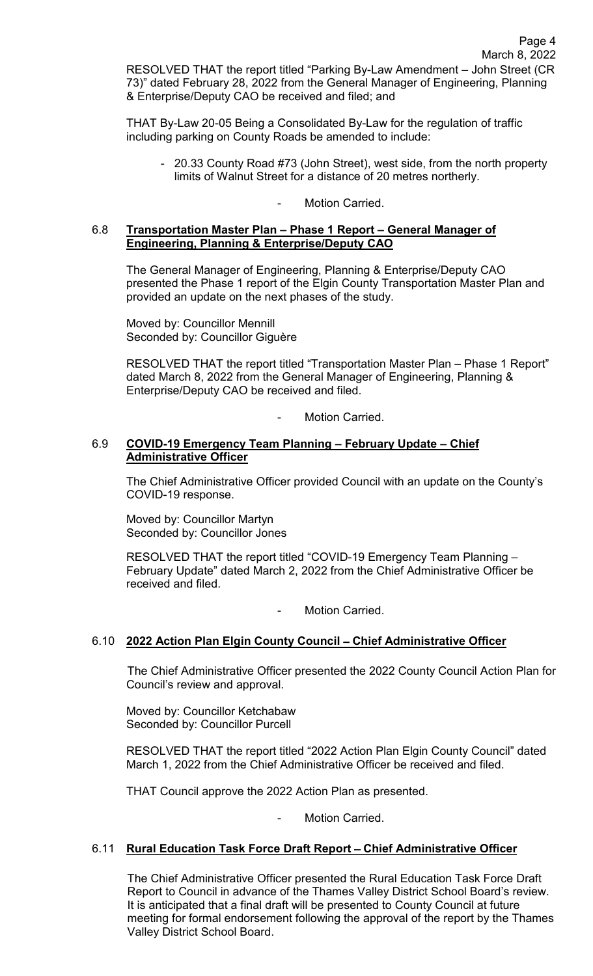THAT By-Law 20-05 Being a Consolidated By-Law for the regulation of traffic including parking on County Roads be amended to include:

- 20.33 County Road #73 (John Street), west side, from the north property limits of Walnut Street for a distance of 20 metres northerly.

## Motion Carried.

## 6.8 **Transportation Master Plan – Phase 1 Report – General Manager of Engineering, Planning & Enterprise/Deputy CAO**

& Enterprise/Deputy CAO be received and filed; and

The General Manager of Engineering, Planning & Enterprise/Deputy CAO presented the Phase 1 report of the Elgin County Transportation Master Plan and provided an update on the next phases of the study.

Moved by: Councillor Mennill Seconded by: Councillor Giguère

RESOLVED THAT the report titled "Transportation Master Plan – Phase 1 Report" dated March 8, 2022 from the General Manager of Engineering, Planning & Enterprise/Deputy CAO be received and filed.

Motion Carried.

### 6.9 **COVID-19 Emergency Team Planning – February Update – Chief Administrative Officer**

The Chief Administrative Officer provided Council with an update on the County's COVID-19 response.

Moved by: Councillor Martyn Seconded by: Councillor Jones

RESOLVED THAT the report titled "COVID-19 Emergency Team Planning – February Update" dated March 2, 2022 from the Chief Administrative Officer be received and filed.

Motion Carried.

## 6.10 **2022 Action Plan Elgin County Council** – **Chief Administrative Officer**

The Chief Administrative Officer presented the 2022 County Council Action Plan for Council's review and approval.

Moved by: Councillor Ketchabaw Seconded by: Councillor Purcell

RESOLVED THAT the report titled "2022 Action Plan Elgin County Council" dated March 1, 2022 from the Chief Administrative Officer be received and filed.

THAT Council approve the 2022 Action Plan as presented.

Motion Carried.

## 6.11 **Rural Education Task Force Draft Report** – **Chief Administrative Officer**

The Chief Administrative Officer presented the Rural Education Task Force Draft Report to Council in advance of the Thames Valley District School Board's review. It is anticipated that a final draft will be presented to County Council at future meeting for formal endorsement following the approval of the report by the Thames Valley District School Board.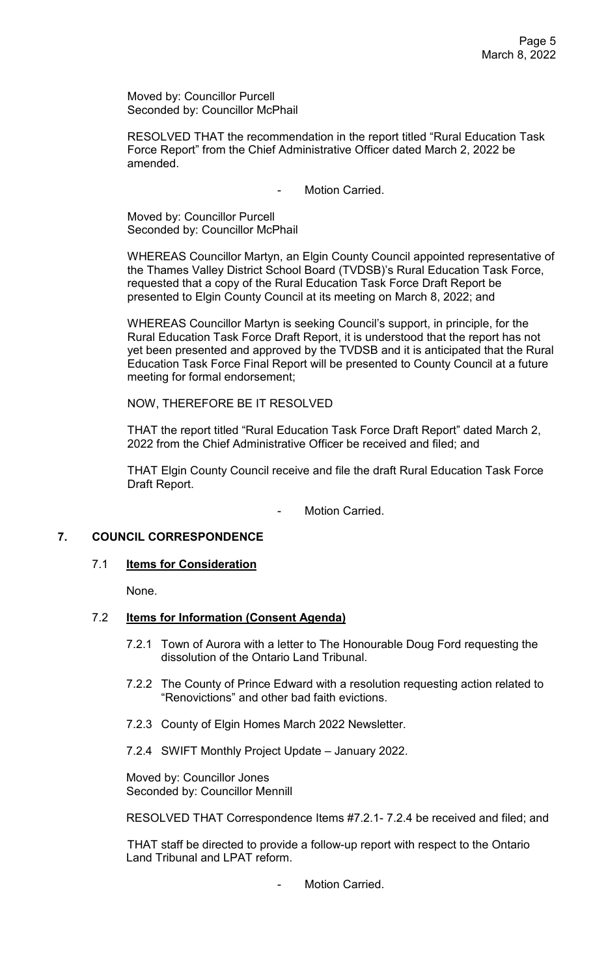Moved by: Councillor Purcell Seconded by: Councillor McPhail

RESOLVED THAT the recommendation in the report titled "Rural Education Task Force Report" from the Chief Administrative Officer dated March 2, 2022 be amended.

Motion Carried.

Moved by: Councillor Purcell Seconded by: Councillor McPhail

WHEREAS Councillor Martyn, an Elgin County Council appointed representative of the Thames Valley District School Board (TVDSB)'s Rural Education Task Force, requested that a copy of the Rural Education Task Force Draft Report be presented to Elgin County Council at its meeting on March 8, 2022; and

WHEREAS Councillor Martyn is seeking Council's support, in principle, for the Rural Education Task Force Draft Report, it is understood that the report has not yet been presented and approved by the TVDSB and it is anticipated that the Rural Education Task Force Final Report will be presented to County Council at a future meeting for formal endorsement;

NOW, THEREFORE BE IT RESOLVED

THAT the report titled "Rural Education Task Force Draft Report" dated March 2, 2022 from the Chief Administrative Officer be received and filed; and

THAT Elgin County Council receive and file the draft Rural Education Task Force Draft Report.

Motion Carried.

## **7. COUNCIL CORRESPONDENCE**

### 7.1 **Items for Consideration**

None.

## 7.2 **Items for Information (Consent Agenda)**

- 7.2.1 Town of Aurora with a letter to The Honourable Doug Ford requesting the dissolution of the Ontario Land Tribunal.
- 7.2.2 The County of Prince Edward with a resolution requesting action related to "Renovictions" and other bad faith evictions.
- 7.2.3 County of Elgin Homes March 2022 Newsletter.
- 7.2.4 SWIFT Monthly Project Update January 2022.

Moved by: Councillor Jones Seconded by: Councillor Mennill

RESOLVED THAT Correspondence Items #7.2.1- 7.2.4 be received and filed; and

THAT staff be directed to provide a follow-up report with respect to the Ontario Land Tribunal and LPAT reform.

Motion Carried.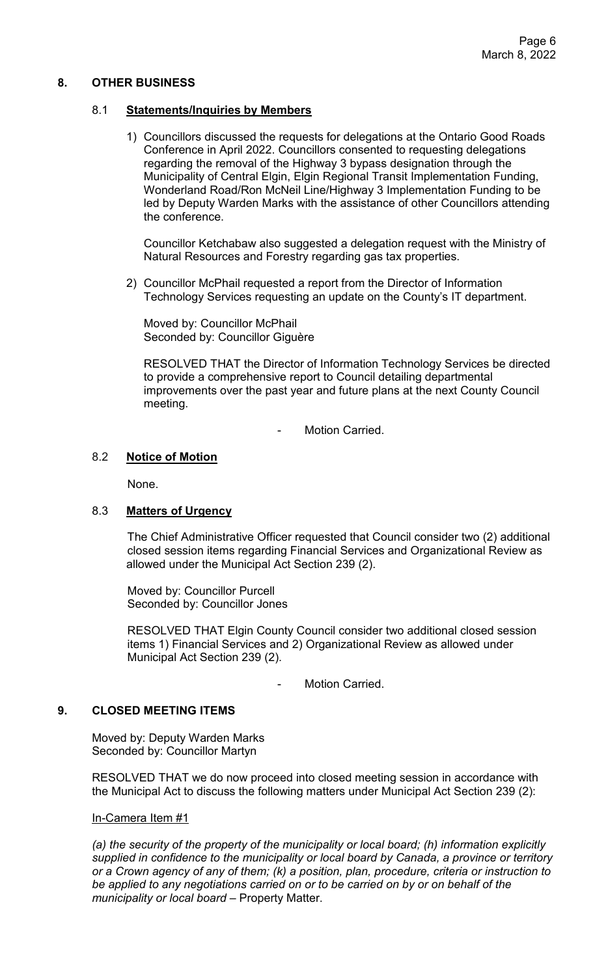## **8. OTHER BUSINESS**

## 8.1 **Statements/Inquiries by Members**

1) Councillors discussed the requests for delegations at the Ontario Good Roads Conference in April 2022. Councillors consented to requesting delegations regarding the removal of the Highway 3 bypass designation through the Municipality of Central Elgin, Elgin Regional Transit Implementation Funding, Wonderland Road/Ron McNeil Line/Highway 3 Implementation Funding to be led by Deputy Warden Marks with the assistance of other Councillors attending the conference.

Councillor Ketchabaw also suggested a delegation request with the Ministry of Natural Resources and Forestry regarding gas tax properties.

2) Councillor McPhail requested a report from the Director of Information Technology Services requesting an update on the County's IT department.

Moved by: Councillor McPhail Seconded by: Councillor Giguère

RESOLVED THAT the Director of Information Technology Services be directed to provide a comprehensive report to Council detailing departmental improvements over the past year and future plans at the next County Council meeting.

Motion Carried.

## 8.2 **Notice of Motion**

None.

### 8.3 **Matters of Urgency**

The Chief Administrative Officer requested that Council consider two (2) additional closed session items regarding Financial Services and Organizational Review as allowed under the Municipal Act Section 239 (2).

 Moved by: Councillor Purcell Seconded by: Councillor Jones

RESOLVED THAT Elgin County Council consider two additional closed session items 1) Financial Services and 2) Organizational Review as allowed under Municipal Act Section 239 (2).

- Motion Carried.

### **9. CLOSED MEETING ITEMS**

Moved by: Deputy Warden Marks Seconded by: Councillor Martyn

RESOLVED THAT we do now proceed into closed meeting session in accordance with the Municipal Act to discuss the following matters under Municipal Act Section 239 (2):

### In-Camera Item #1

*(a) the security of the property of the municipality or local board; (h) information explicitly supplied in confidence to the municipality or local board by Canada, a province or territory or a Crown agency of any of them; (k) a position, plan, procedure, criteria or instruction to be applied to any negotiations carried on or to be carried on by or on behalf of the municipality or local board* – Property Matter.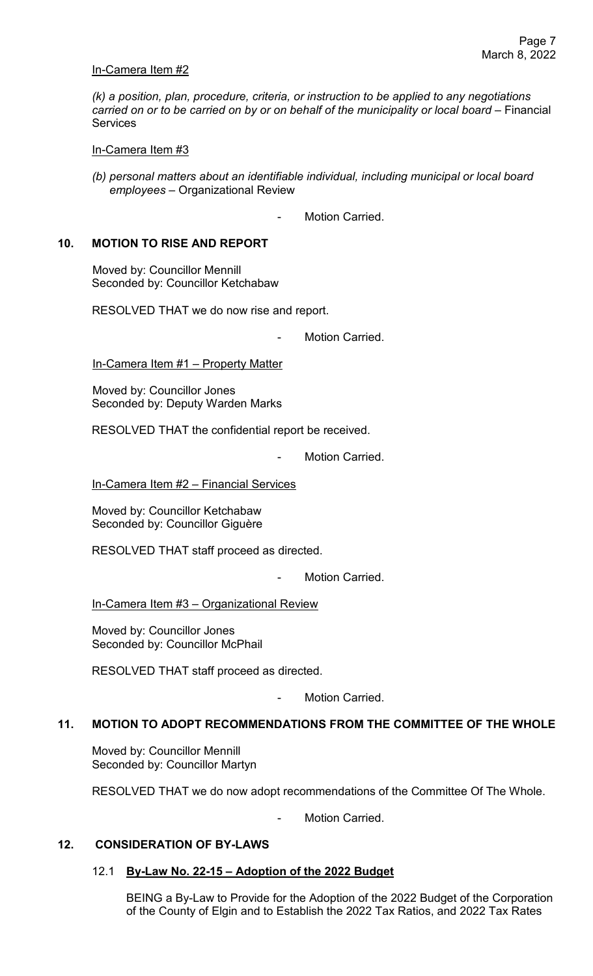### In-Camera Item #2

*(k) a position, plan, procedure, criteria, or instruction to be applied to any negotiations carried on or to be carried on by or on behalf of the municipality or local board* – Financial **Services** 

In-Camera Item #3

- *(b) personal matters about an identifiable individual, including municipal or local board employees* – Organizational Review
	- Motion Carried.

### **10. MOTION TO RISE AND REPORT**

Moved by: Councillor Mennill Seconded by: Councillor Ketchabaw

RESOLVED THAT we do now rise and report.

Motion Carried.

In-Camera Item #1 – Property Matter

Moved by: Councillor Jones Seconded by: Deputy Warden Marks

RESOLVED THAT the confidential report be received.

Motion Carried.

In-Camera Item #2 - Financial Services

Moved by: Councillor Ketchabaw Seconded by: Councillor Giguère

RESOLVED THAT staff proceed as directed.

Motion Carried.

In-Camera Item #3 – Organizational Review

Moved by: Councillor Jones Seconded by: Councillor McPhail

RESOLVED THAT staff proceed as directed.

Motion Carried.

# **11. MOTION TO ADOPT RECOMMENDATIONS FROM THE COMMITTEE OF THE WHOLE**

Moved by: Councillor Mennill Seconded by: Councillor Martyn

RESOLVED THAT we do now adopt recommendations of the Committee Of The Whole.

Motion Carried.

## **12. CONSIDERATION OF BY-LAWS**

### 12.1 **By-Law No. 22-15 – Adoption of the 2022 Budget**

BEING a By-Law to Provide for the Adoption of the 2022 Budget of the Corporation of the County of Elgin and to Establish the 2022 Tax Ratios, and 2022 Tax Rates